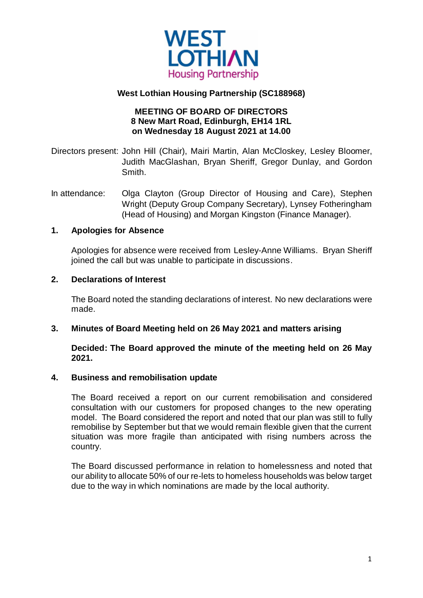

# **West Lothian Housing Partnership (SC188968)**

## **MEETING OF BOARD OF DIRECTORS 8 New Mart Road, Edinburgh, EH14 1RL on Wednesday 18 August 2021 at 14.00**

Directors present: John Hill (Chair), Mairi Martin, Alan McCloskey, Lesley Bloomer, Judith MacGlashan, Bryan Sheriff, Gregor Dunlay, and Gordon **Smith** 

In attendance: Olga Clayton (Group Director of Housing and Care), Stephen Wright (Deputy Group Company Secretary), Lynsey Fotheringham (Head of Housing) and Morgan Kingston (Finance Manager).

## **1. Apologies for Absence**

Apologies for absence were received from Lesley-Anne Williams. Bryan Sheriff joined the call but was unable to participate in discussions.

## **2. Declarations of Interest**

The Board noted the standing declarations of interest. No new declarations were made.

### **3. Minutes of Board Meeting held on 26 May 2021 and matters arising**

### **Decided: The Board approved the minute of the meeting held on 26 May 2021.**

### **4. Business and remobilisation update**

The Board received a report on our current remobilisation and considered consultation with our customers for proposed changes to the new operating model. The Board considered the report and noted that our plan was still to fully remobilise by September but that we would remain flexible given that the current situation was more fragile than anticipated with rising numbers across the country.

The Board discussed performance in relation to homelessness and noted that our ability to allocate 50% of our re-lets to homeless households was below target due to the way in which nominations are made by the local authority.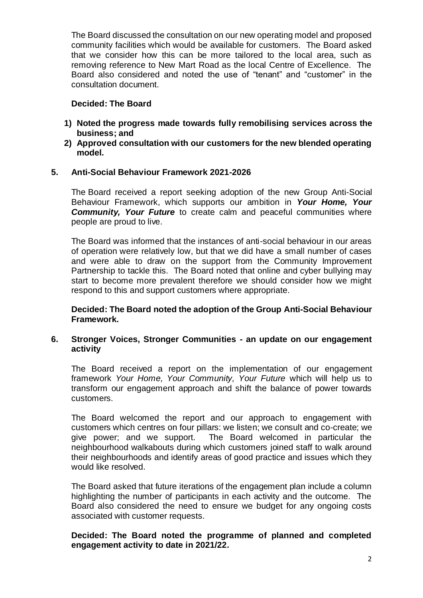The Board discussed the consultation on our new operating model and proposed community facilities which would be available for customers. The Board asked that we consider how this can be more tailored to the local area, such as removing reference to New Mart Road as the local Centre of Excellence. The Board also considered and noted the use of "tenant" and "customer" in the consultation document.

## **Decided: The Board**

- **1) Noted the progress made towards fully remobilising services across the business; and**
- **2) Approved consultation with our customers for the new blended operating model.**

## **5. Anti-Social Behaviour Framework 2021-2026**

The Board received a report seeking adoption of the new Group Anti-Social Behaviour Framework, which supports our ambition in *Your Home, Your*  **Community, Your Future** to create calm and peaceful communities where people are proud to live.

The Board was informed that the instances of anti-social behaviour in our areas of operation were relatively low, but that we did have a small number of cases and were able to draw on the support from the Community Improvement Partnership to tackle this. The Board noted that online and cyber bullying may start to become more prevalent therefore we should consider how we might respond to this and support customers where appropriate.

**Decided: The Board noted the adoption of the Group Anti-Social Behaviour Framework.**

### **6. Stronger Voices, Stronger Communities - an update on our engagement activity**

The Board received a report on the implementation of our engagement framework *Your Home, Your Community, Your Future* which will help us to transform our engagement approach and shift the balance of power towards customers.

The Board welcomed the report and our approach to engagement with customers which centres on four pillars: we listen; we consult and co-create; we give power; and we support. The Board welcomed in particular the neighbourhood walkabouts during which customers joined staff to walk around their neighbourhoods and identify areas of good practice and issues which they would like resolved.

The Board asked that future iterations of the engagement plan include a column highlighting the number of participants in each activity and the outcome. The Board also considered the need to ensure we budget for any ongoing costs associated with customer requests.

#### **Decided: The Board noted the programme of planned and completed engagement activity to date in 2021/22.**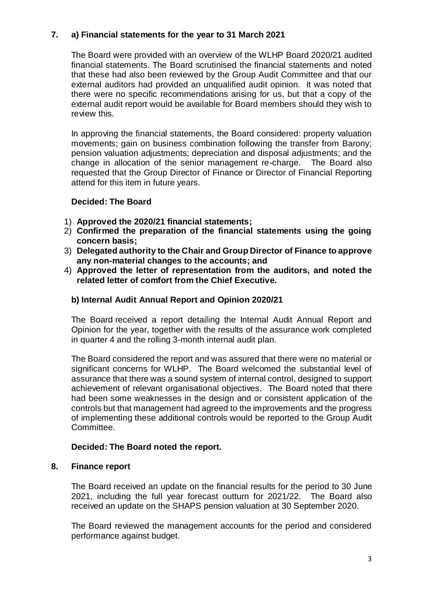## **7. a) Financial statements for the year to 31 March 2021**

The Board were provided with an overview of the WLHP Board 2020/21 audited financial statements. The Board scrutinised the financial statements and noted that these had also been reviewed by the Group Audit Committee and that our external auditors had provided an unqualified audit opinion. It was noted that there were no specific recommendations arising for us, but that a copy of the external audit report would be available for Board members should they wish to review this.

In approving the financial statements, the Board considered: property valuation movements; gain on business combination following the transfer from Barony; pension valuation adjustments; depreciation and disposal adjustments; and the change in allocation of the senior management re-charge. The Board also requested that the Group Director of Finance or Director of Financial Reporting attend for this item in future years.

### **Decided: The Board**

- 1) **Approved the 2020/21 financial statements;**
- 2) **Confirmed the preparation of the financial statements using the going concern basis;**
- 3) **Delegated authority to the Chair and Group Director of Finance to approve any non-material changes to the accounts; and**
- 4) **Approved the letter of representation from the auditors, and noted the related letter of comfort from the Chief Executive.**

### **b) Internal Audit Annual Report and Opinion 2020/21**

The Board received a report detailing the Internal Audit Annual Report and Opinion for the year, together with the results of the assurance work completed in quarter 4 and the rolling 3-month internal audit plan.

The Board considered the report and was assured that there were no material or significant concerns for WLHP. The Board welcomed the substantial level of assurance that there was a sound system of internal control, designed to support achievement of relevant organisational objectives. The Board noted that there had been some weaknesses in the design and or consistent application of the controls but that management had agreed to the improvements and the progress of implementing these additional controls would be reported to the Group Audit **Committee.** 

## **Decided: The Board noted the report.**

### **8. Finance report**

The Board received an update on the financial results for the period to 30 June 2021, including the full year forecast outturn for 2021/22. The Board also received an update on the SHAPS pension valuation at 30 September 2020.

The Board reviewed the management accounts for the period and considered performance against budget.